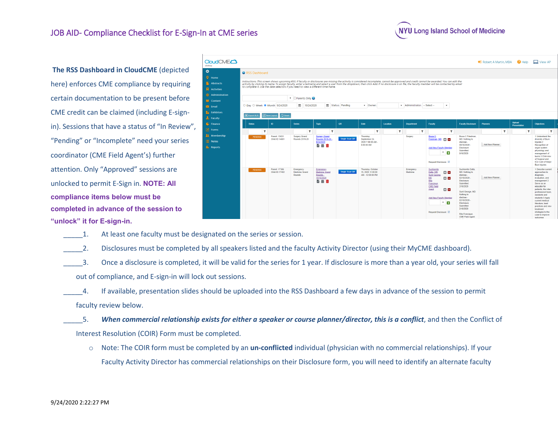## JOB AID- Compliance Checklist for E-Sign-In at CME series



**The RSS Dashboard in CloudCME** (depicted here) enforces CME compliance by requiring certain documentation to be present before CME credit can be claimed (including E-signin). Sessions that have a status of "In Review", "Pending" or "Incomplete" need your series coordinator (CME Field Agent's) further attention. Only "Approved" sessions are unlocked to permit E-Sign in. **NOTE: All compliance items below must be completed in advance of the session to "unlock" it for E-sign-in.**

| <b>CoudCMEC</b>                                                |                                                                                                                                                                                                                                                                                                                                                                                                                                                                                                                    |                                 |                                                        |                                                              |                 |                                                                    |              |                              |                                                                                                                                                                                                                          |                                                                                                                                                                                                                                                                    | Robert A Martin, MBA   | <b>2</b> Help                 | $\Box$ View AP                                                                                                                                                                                                                                                                                                                     |
|----------------------------------------------------------------|--------------------------------------------------------------------------------------------------------------------------------------------------------------------------------------------------------------------------------------------------------------------------------------------------------------------------------------------------------------------------------------------------------------------------------------------------------------------------------------------------------------------|---------------------------------|--------------------------------------------------------|--------------------------------------------------------------|-----------------|--------------------------------------------------------------------|--------------|------------------------------|--------------------------------------------------------------------------------------------------------------------------------------------------------------------------------------------------------------------------|--------------------------------------------------------------------------------------------------------------------------------------------------------------------------------------------------------------------------------------------------------------------|------------------------|-------------------------------|------------------------------------------------------------------------------------------------------------------------------------------------------------------------------------------------------------------------------------------------------------------------------------------------------------------------------------|
| Home                                                           | <b>Q</b> RSS Dashboard                                                                                                                                                                                                                                                                                                                                                                                                                                                                                             |                                 |                                                        |                                                              |                 |                                                                    |              |                              |                                                                                                                                                                                                                          |                                                                                                                                                                                                                                                                    |                        |                               |                                                                                                                                                                                                                                                                                                                                    |
| <b>Abstracts</b><br><b>Activities</b><br><b>Administration</b> | Instructions: This screen shows upcoming RSS. If faculty or disclosures are missing the activity is considered incomplete, cannot be approved and credit cannot be awarded. You can edit the<br>activity by clicking its name. To assign faculty, enter a lastname and select a user from the dropdown, then click Add. If no disclosure is on file, the faculty member will be contacted by email<br>to complete it. Use the date selectors if you need to view a different time frame.<br>▼ <b>DParents Only</b> |                                 |                                                        |                                                              |                 |                                                                    |              |                              |                                                                                                                                                                                                                          |                                                                                                                                                                                                                                                                    |                        |                               |                                                                                                                                                                                                                                                                                                                                    |
| <b>Content</b><br><b>Email</b><br>Exhibitors                   | O Day O Week Month 9/24/2020<br><b>X</b> Export XLS                                                                                                                                                                                                                                                                                                                                                                                                                                                                | Save Layout<br>○ Reset          | œ<br>10/24/2020                                        | O.                                                           | Status: Pending | v Owner:                                                           |              | * Administrator: - Select -- | $\mathbf{v}$                                                                                                                                                                                                             |                                                                                                                                                                                                                                                                    |                        |                               |                                                                                                                                                                                                                                                                                                                                    |
| Faculty<br>Finance<br>Forms                                    | <b>Status</b>                                                                                                                                                                                                                                                                                                                                                                                                                                                                                                      | ID                              | Series                                                 | <b>Topic</b>                                                 | OR              | Date                                                               | Location     | <b>Department</b>            | Faculty                                                                                                                                                                                                                  | <b>Faculty Disclosure</b>                                                                                                                                                                                                                                          | <b>Planners</b>        | <b>Upload</b><br>Presentation | <b>Objectives</b>                                                                                                                                                                                                                                                                                                                  |
| Membership<br>$\equiv$ Notes<br><b>Reports</b>                 | Y<br>PENDING.                                                                                                                                                                                                                                                                                                                                                                                                                                                                                                      | Parent: 13631<br>Child ID:14681 | $\mathbf{v}$<br><b>Surgery Grand</b><br>Rounds 2019-20 | Y<br>Surgery Grand<br>Rounds 2019-20<br>9/24/2020<br>昏黄面     | Single Scan QR  | Y<br>Thursday.<br>September 24.<br>2020 7:00:00 AM -<br>8:00:00 AM | $\mathbf{v}$ | Y<br>Surgery                 | $\mathbf{v}$<br><b>Bruce C</b><br>Friedman, MD [C]<br><b>Add New Faculty Member</b><br>$\pmb{\mathrm{v}}$<br>$\ddot{\phantom{1}}$<br>Request Disclosure:                                                                 | <b>Bruce C Friedman.</b><br>MD: Nothing to<br>disclose-<br>09/16/2020<br><b>Disclosure</b><br>Submitted<br>9/16/2020                                                                                                                                               | Y<br>Add New Planner   | $\mathbf{v}$                  | Y<br>1 Understand the<br>diversity of Burn<br>Injuries <sub>2</sub><br>Recognition of<br>organ system<br>physiology and<br>management of<br>burns 3 OVerview<br>of Surgical and<br><b>ICU Care of Major</b><br><b>Burn Injuries</b>                                                                                                |
|                                                                | <b>PENDING</b>                                                                                                                                                                                                                                                                                                                                                                                                                                                                                                     | Parent: 17386<br>Child ID:17402 | Emergency<br>Medicine Grand<br>Rounds                  | Emergency<br>Medicine Grand<br>Rounds -<br>10/15/2020<br>昏苗面 | Single Scan QR  | Thursday, October<br>15.2020 11:00:00<br>AM - 12:00:00 PM          |              | Emergency<br>Medicine        | Suchismita<br>Datta, MD<br>⊠ ⊟<br>Sunil George<br><b>MD</b><br>⊡⊡<br>Rita<br>Francique<br><b>CME Field</b><br>⊡⊟<br>Agent<br>Add New Faculty Member<br>$\pmb{\mathrm{v}}$<br>$\ddot{\phantom{1}}$<br>Request Disclosure: | Suchismita Datta<br>MD: Nothing to<br>disclose -<br>02/18/2020<br><b>Disclosure</b><br>Submitted:<br>2/18/2020<br>Sunil George, MD<br>Nothing to<br>disclose -<br>02/18/2020<br>Disclosure<br>Submitted:<br>2/18/2020<br>Rita Francique.<br><b>CME Field Agent</b> | <b>Add New Planner</b> |                               | 1 Describe current<br>approaches to<br>diagnosis.<br>evaluation, and<br>management 2<br>Serve as an<br>educator for<br>patients, the inter-<br>professional team<br>residents and<br>students 3 Apply<br>current medical<br>literature, best<br>practices and new<br>treatment<br>strategies to the<br>case to improve<br>outcomes |

1. At least one faculty must be designated on the series or session.

2. Disclosures must be completed by all speakers listed and the faculty Activity Director (using their MyCME dashboard).

\_\_\_\_\_3. Once a disclosure is completed, it will be valid for the series for 1 year. If disclosure is more than a year old, your series will fall out of compliance, and E-sign-in will lock out sessions.

\_\_\_\_\_4. If available, presentation slides should be uploaded into the RSS Dashboard a few days in advance of the session to permit faculty review below.

\_\_\_\_\_5. *When commercial relationship exists for either a speaker or course planner/director, this is a conflict*, and then the Conflict of Interest Resolution (COIR) Form must be completed.

o Note: The COIR form must be completed by an **un-conflicted** individual (physician with no commercial relationships). If your Faculty Activity Director has commercial relationships on their Disclosure form, you will need to identify an alternate faculty